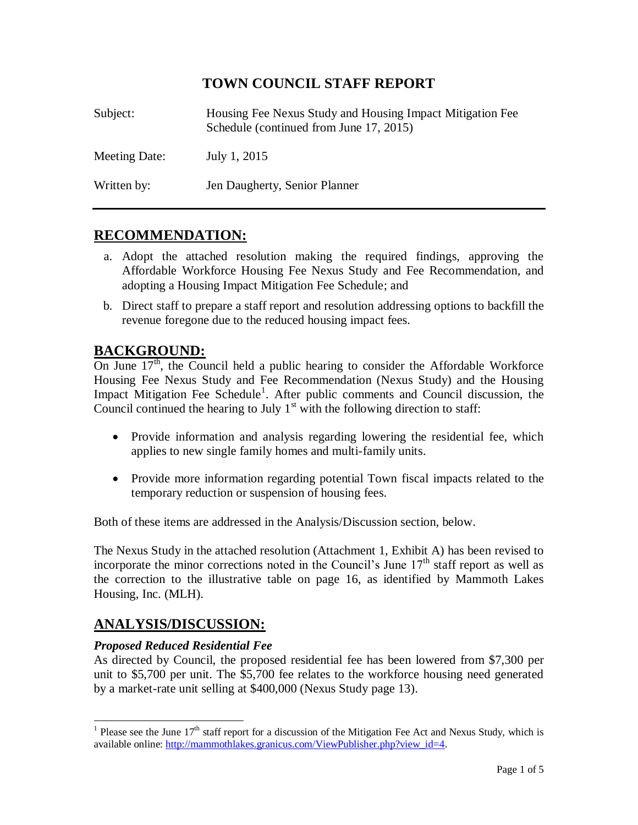## **TOWN COUNCIL STAFF REPORT**

| Subject:      | Housing Fee Nexus Study and Housing Impact Mitigation Fee<br>Schedule (continued from June 17, 2015) |
|---------------|------------------------------------------------------------------------------------------------------|
| Meeting Date: | July 1, 2015                                                                                         |
| Written by:   | Jen Daugherty, Senior Planner                                                                        |

## **RECOMMENDATION:**

- a. Adopt the attached resolution making the required findings, approving the Affordable Workforce Housing Fee Nexus Study and Fee Recommendation, and adopting a Housing Impact Mitigation Fee Schedule; and
- b. Direct staff to prepare a staff report and resolution addressing options to backfill the revenue foregone due to the reduced housing impact fees.

#### **BACKGROUND:**

On June  $17<sup>th</sup>$ , the Council held a public hearing to consider the Affordable Workforce Housing Fee Nexus Study and Fee Recommendation (Nexus Study) and the Housing Impact Mitigation Fee Schedule<sup>1</sup>. After public comments and Council discussion, the Council continued the hearing to July  $1<sup>st</sup>$  with the following direction to staff:

- Provide information and analysis regarding lowering the residential fee, which applies to new single family homes and multi-family units.
- Provide more information regarding potential Town fiscal impacts related to the temporary reduction or suspension of housing fees.

Both of these items are addressed in the Analysis/Discussion section, below.

The Nexus Study in the attached resolution (Attachment 1, Exhibit A) has been revised to incorporate the minor corrections noted in the Council's June  $17<sup>th</sup>$  staff report as well as the correction to the illustrative table on page 16, as identified by Mammoth Lakes Housing, Inc. (MLH).

## **ANALYSIS/DISCUSSION:**

#### *Proposed Reduced Residential Fee*

As directed by Council, the proposed residential fee has been lowered from \$7,300 per unit to \$5,700 per unit. The \$5,700 fee relates to the workforce housing need generated by a market-rate unit selling at \$400,000 (Nexus Study page 13).

<sup>&</sup>lt;sup>1</sup> Please see the June  $17<sup>th</sup>$  staff report for a discussion of the Mitigation Fee Act and Nexus Study, which is available online: [http://mammothlakes.granicus.com/ViewPublisher.php?view\\_id=4.](http://mammothlakes.granicus.com/ViewPublisher.php?view_id=4)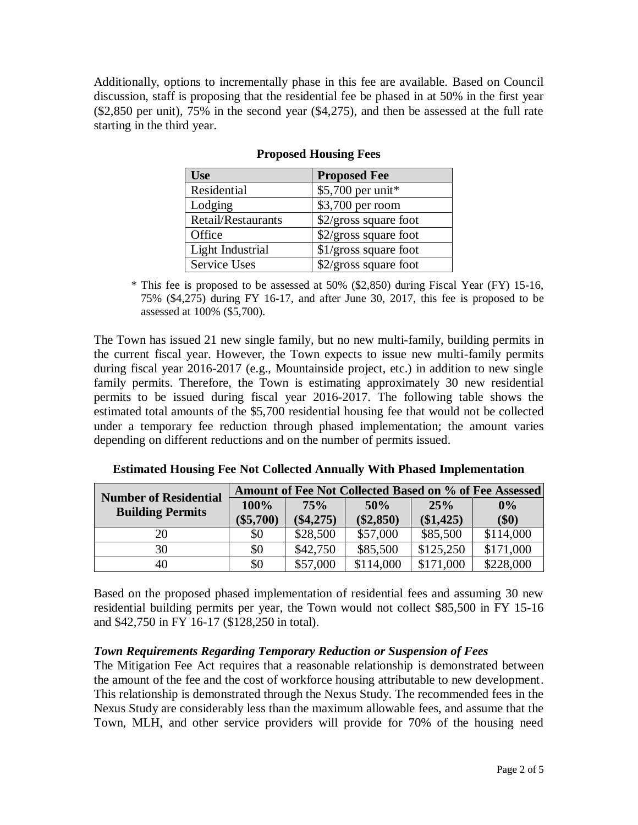Additionally, options to incrementally phase in this fee are available. Based on Council discussion, staff is proposing that the residential fee be phased in at 50% in the first year (\$2,850 per unit), 75% in the second year (\$4,275), and then be assessed at the full rate starting in the third year.

| <b>Use</b>          | <b>Proposed Fee</b>   |
|---------------------|-----------------------|
| Residential         | \$5,700 per unit*     |
| Lodging             | \$3,700 per room      |
| Retail/Restaurants  | \$2/gross square foot |
| Office              | \$2/gross square foot |
| Light Industrial    | \$1/gross square foot |
| <b>Service Uses</b> | \$2/gross square foot |

| <b>Proposed Housing Fees</b> |  |  |
|------------------------------|--|--|
|------------------------------|--|--|

\* This fee is proposed to be assessed at 50% (\$2,850) during Fiscal Year (FY) 15-16, 75% (\$4,275) during FY 16-17, and after June 30, 2017, this fee is proposed to be assessed at 100% (\$5,700).

The Town has issued 21 new single family, but no new multi-family, building permits in the current fiscal year. However, the Town expects to issue new multi-family permits during fiscal year 2016-2017 (e.g., Mountainside project, etc.) in addition to new single family permits. Therefore, the Town is estimating approximately 30 new residential permits to be issued during fiscal year 2016-2017. The following table shows the estimated total amounts of the \$5,700 residential housing fee that would not be collected under a temporary fee reduction through phased implementation; the amount varies depending on different reductions and on the number of permits issued.

| <b>Number of Residential</b> | Amount of Fee Not Collected Based on % of Fee Assessed |             |             |           |           |  |
|------------------------------|--------------------------------------------------------|-------------|-------------|-----------|-----------|--|
| <b>Building Permits</b>      | 100%                                                   | 75%         | 50%         | 25%       | $0\%$     |  |
|                              | $(\$5,700)$                                            | $(\$4,275)$ | $(\$2,850)$ | (\$1,425) | $(\$0)$   |  |
| 20                           | \$0                                                    | \$28,500    | \$57,000    | \$85,500  | \$114,000 |  |
| 30                           | \$0                                                    | \$42,750    | \$85,500    | \$125,250 | \$171,000 |  |
| 40                           | \$0                                                    | \$57,000    | \$114,000   | \$171,000 | \$228,000 |  |

Based on the proposed phased implementation of residential fees and assuming 30 new residential building permits per year, the Town would not collect \$85,500 in FY 15-16 and \$42,750 in FY 16-17 (\$128,250 in total).

#### *Town Requirements Regarding Temporary Reduction or Suspension of Fees*

The Mitigation Fee Act requires that a reasonable relationship is demonstrated between the amount of the fee and the cost of workforce housing attributable to new development. This relationship is demonstrated through the Nexus Study. The recommended fees in the Nexus Study are considerably less than the maximum allowable fees, and assume that the Town, MLH, and other service providers will provide for 70% of the housing need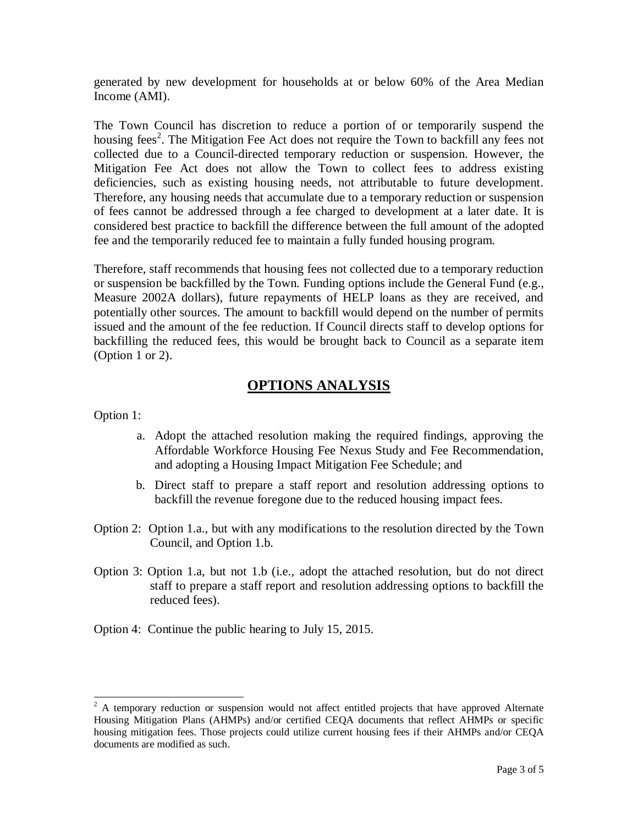generated by new development for households at or below 60% of the Area Median Income (AMI).

The Town Council has discretion to reduce a portion of or temporarily suspend the housing fees<sup>2</sup>. The Mitigation Fee Act does not require the Town to backfill any fees not collected due to a Council-directed temporary reduction or suspension. However, the Mitigation Fee Act does not allow the Town to collect fees to address existing deficiencies, such as existing housing needs, not attributable to future development. Therefore, any housing needs that accumulate due to a temporary reduction or suspension of fees cannot be addressed through a fee charged to development at a later date. It is considered best practice to backfill the difference between the full amount of the adopted fee and the temporarily reduced fee to maintain a fully funded housing program.

Therefore, staff recommends that housing fees not collected due to a temporary reduction or suspension be backfilled by the Town. Funding options include the General Fund (e.g., Measure 2002A dollars), future repayments of HELP loans as they are received, and potentially other sources. The amount to backfill would depend on the number of permits issued and the amount of the fee reduction. If Council directs staff to develop options for backfilling the reduced fees, this would be brought back to Council as a separate item (Option 1 or 2).

## **OPTIONS ANALYSIS**

Option 1:

 $\overline{a}$ 

- a. Adopt the attached resolution making the required findings, approving the Affordable Workforce Housing Fee Nexus Study and Fee Recommendation, and adopting a Housing Impact Mitigation Fee Schedule; and
- b. Direct staff to prepare a staff report and resolution addressing options to backfill the revenue foregone due to the reduced housing impact fees.
- Option 2: Option 1.a., but with any modifications to the resolution directed by the Town Council, and Option 1.b.
- Option 3: Option 1.a, but not 1.b (i.e., adopt the attached resolution, but do not direct staff to prepare a staff report and resolution addressing options to backfill the reduced fees).
- Option 4: Continue the public hearing to July 15, 2015.

 $2 \text{ A temporary reduction or suspension would not affect entitled projects that have approved Alternative A.}$ Housing Mitigation Plans (AHMPs) and/or certified CEQA documents that reflect AHMPs or specific housing mitigation fees. Those projects could utilize current housing fees if their AHMPs and/or CEQA documents are modified as such.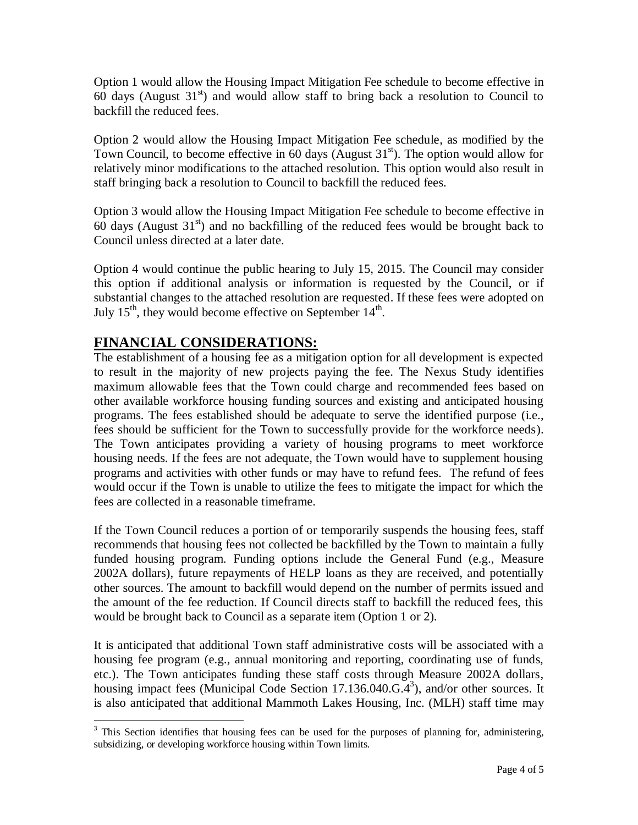Option 1 would allow the Housing Impact Mitigation Fee schedule to become effective in 60 days (August  $31<sup>st</sup>$ ) and would allow staff to bring back a resolution to Council to backfill the reduced fees.

Option 2 would allow the Housing Impact Mitigation Fee schedule, as modified by the Town Council, to become effective in 60 days (August  $31<sup>st</sup>$ ). The option would allow for relatively minor modifications to the attached resolution. This option would also result in staff bringing back a resolution to Council to backfill the reduced fees.

Option 3 would allow the Housing Impact Mitigation Fee schedule to become effective in 60 days (August  $31<sup>st</sup>$ ) and no backfilling of the reduced fees would be brought back to Council unless directed at a later date.

Option 4 would continue the public hearing to July 15, 2015. The Council may consider this option if additional analysis or information is requested by the Council, or if substantial changes to the attached resolution are requested. If these fees were adopted on July  $15<sup>th</sup>$ , they would become effective on September  $14<sup>th</sup>$ .

# **FINANCIAL CONSIDERATIONS:**

The establishment of a housing fee as a mitigation option for all development is expected to result in the majority of new projects paying the fee. The Nexus Study identifies maximum allowable fees that the Town could charge and recommended fees based on other available workforce housing funding sources and existing and anticipated housing programs. The fees established should be adequate to serve the identified purpose (i.e., fees should be sufficient for the Town to successfully provide for the workforce needs). The Town anticipates providing a variety of housing programs to meet workforce housing needs. If the fees are not adequate, the Town would have to supplement housing programs and activities with other funds or may have to refund fees. The refund of fees would occur if the Town is unable to utilize the fees to mitigate the impact for which the fees are collected in a reasonable timeframe.

If the Town Council reduces a portion of or temporarily suspends the housing fees, staff recommends that housing fees not collected be backfilled by the Town to maintain a fully funded housing program. Funding options include the General Fund (e.g., Measure 2002A dollars), future repayments of HELP loans as they are received, and potentially other sources. The amount to backfill would depend on the number of permits issued and the amount of the fee reduction. If Council directs staff to backfill the reduced fees, this would be brought back to Council as a separate item (Option 1 or 2).

It is anticipated that additional Town staff administrative costs will be associated with a housing fee program (e.g., annual monitoring and reporting, coordinating use of funds, etc.). The Town anticipates funding these staff costs through Measure 2002A dollars, housing impact fees (Municipal Code Section 17.136.040. $G.A^3$ ), and/or other sources. It is also anticipated that additional Mammoth Lakes Housing, Inc. (MLH) staff time may

 $\overline{a}$  $3$  This Section identifies that housing fees can be used for the purposes of planning for, administering, subsidizing, or developing workforce housing within Town limits.